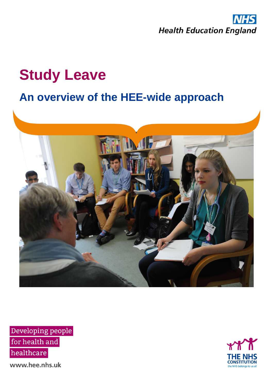

# **Study Leave**

## **An overview of the HEE-wide approach**



Developing people for health and healthcare

www.hee.nhs.uk

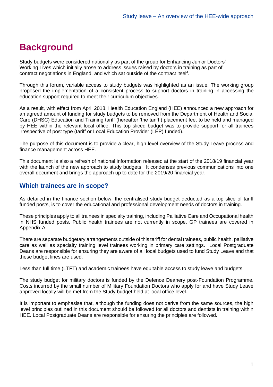### **Background**

Study budgets were considered nationally as part of the group for Enhancing Junior Doctors' Working Lives which initially arose to address issues raised by doctors in training as part of contract negotiations in England, and which sat outside of the contract itself.

Through this forum, variable access to study budgets was highlighted as an issue. The working group proposed the implementation of a consistent process to support doctors in training in accessing the education support required to meet their curriculum objectives.

As a result, with effect from April 2018, Health Education England (HEE) announced a new approach for an agreed amount of funding for study budgets to be removed from the Department of Health and Social Care (DHSC) Education and Training tariff (hereafter 'the tariff') placement fee, to be held and managed by HEE within the relevant local office. This top sliced budget was to provide support for all trainees irrespective of post type (tariff or Local Education Provider (LEP) funded).

The purpose of this document is to provide a clear, high-level overview of the Study Leave process and finance management across HEE.

This document is also a refresh of national information released at the start of the 2018/19 financial year with the launch of the new approach to study budgets. It condenses previous communications into one overall document and brings the approach up to date for the 2019/20 financial year.

#### **Which trainees are in scope?**

As detailed in the finance section below, the centralised study budget deducted as a top slice of tariff funded posts, is to cover the educational and professional development needs of doctors in training.

These principles apply to all trainees in specialty training, including Palliative Care and Occupational health in NHS funded posts. Public health trainees are not currently in scope. GP trainees are covered in Appendix A.

There are separate budgetary arrangements outside of this tariff for dental trainees, public health, palliative care as well as specialty training level trainees working in primary care settings. Local Postgraduate Deans are responsible for ensuring they are aware of all local budgets used to fund Study Leave and that these budget lines are used.

Less than full time (LTFT) and academic trainees have equitable access to study leave and budgets.

The study budget for military doctors is funded by the Defence Deanery post-Foundation Programme. Costs incurred by the small number of Military Foundation Doctors who apply for and have Study Leave approved locally will be met from the Study budget held at local office level.

It is important to emphasise that, although the funding does not derive from the same sources, the high level principles outlined in this document should be followed for all doctors and dentists in training within HEE. Local Postgraduate Deans are responsible for ensuring the principles are followed.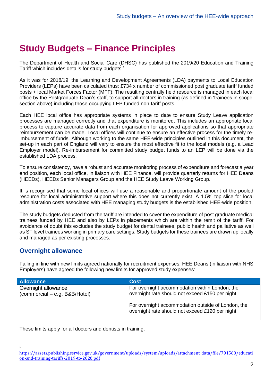### **Study Budgets – Finance Principles**

The Department of Health and Social Care (DHSC) has published the 2019/20 Education and Training Tariff which includes details for study budgets. 1

As it was for 2018/19, the Learning and Development Agreements (LDA) payments to Local Education Providers (LEPs) have been calculated thus: £734 x number of commissioned post graduate tariff funded posts + local Market Forces Factor (MFF). The resulting centrally held resource is managed in each local office by the Postgraduate Dean's staff, to support all doctors in training (as defined in 'trainees in scope' section above) including those occupying LEP funded non-tariff posts.

Each HEE local office has appropriate systems in place to date to ensure Study Leave application processes are managed correctly and that expenditure is monitored. This includes an appropriate local process to capture accurate data from each organisation for approved applications so that appropriate reimbursement can be made. Local offices will continue to ensure an effective process for the timely reimbursement of funds. Although working to the same HEE-wide principles outlined in this document, the set-up in each part of England will vary to ensure the most effective fit to the local models (e.g. a Lead Employer model). Re-imbursement for committed study budget funds to an LEP will be done via the established LDA process.

To ensure consistency, have a robust and accurate monitoring process of expenditure and forecast a year end position, each local office, in liaison with HEE Finance, will provide quarterly returns for HEE Deans (HEEDs), HEEDs Senior Managers Group and the HEE Study Leave Working Group.

It is recognised that some local offices will use a reasonable and proportionate amount of the pooled resource for local administrative support where this does not currently exist. A 1.5% top slice for local administration costs associated with HEE managing study budgets is the established HEE-wide position.

The study budgets deducted from the tariff are intended to cover the expenditure of post graduate medical trainees funded by HEE and also by LEPs in placements which are within the remit of the tariff. For avoidance of doubt this excludes the study budget for dental trainees, public health and palliative as well as ST level trainees working in primary care settings. Study budgets for these trainees are drawn up locally and managed as per existing processes.

#### **Overnight allowance**

1

Falling in line with new limits agreed nationally for recruitment expenses, HEE Deans (in liaison with NHS Employers) have agreed the following new limits for approved study expenses:

| <b>Allowance</b>                                     | <b>Cost</b>                                                                                            |
|------------------------------------------------------|--------------------------------------------------------------------------------------------------------|
| Overnight allowance<br>(commercial – e.g. B&B/Hotel) | For overnight accommodation within London, the<br>overnight rate should not exceed £150 per night.     |
|                                                      | For overnight accommodation outside of London, the<br>overnight rate should not exceed £120 per night. |

These limits apply for all doctors and dentists in training.

[https://assets.publishing.service.gov.uk/government/uploads/system/uploads/attachment\\_data/file/791560/educati](https://assets.publishing.service.gov.uk/government/uploads/system/uploads/attachment_data/file/791560/education-and-training-tariffs-2019-to-2020.pdf) [on-and-training-tariffs-2019-to-2020.pdf](https://assets.publishing.service.gov.uk/government/uploads/system/uploads/attachment_data/file/791560/education-and-training-tariffs-2019-to-2020.pdf)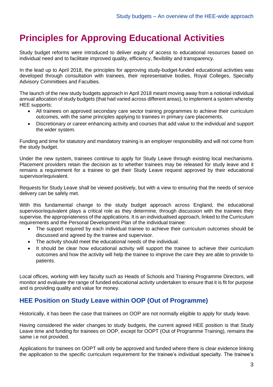### **Principles for Approving Educational Activities**

Study budget reforms were introduced to deliver equity of access to educational resources based on individual need and to facilitate improved quality, efficiency, flexibility and transparency.

In the lead up to April 2018, the principles for approving study-budget-funded educational activities was developed through consultation with trainees, their representative bodies, Royal Colleges, Specialty Advisory Committees and Faculties.

The launch of the new study budgets approach in April 2018 meant moving away from a notional individual annual allocation of study budgets (that had varied across different areas), to implement a system whereby HEE supports:

- All trainees on approved secondary care sector training programmes to achieve their curriculum outcomes, with the same principles applying to trainees in primary care placements.
- Discretionary or career enhancing activity and courses that add value to the individual and support the wider system.

Funding and time for statutory and mandatory training is an employer responsibility and will not come from the study budget.

Under the new system, trainees continue to apply for Study Leave through existing local mechanisms. Placement providers retain the decision as to whether trainees may be released for study leave and it remains a requirement for a trainee to get their Study Leave request approved by their educational supervisor/equivalent.

Requests for Study Leave shall be viewed positively, but with a view to ensuring that the needs of service delivery can be safely met.

With this fundamental change to the study budget approach across England, the educational supervisor/equivalent plays a critical role as they determine, through discussion with the trainees they supervise, the appropriateness of the applications. It is an individualised approach, linked to the Curriculum requirements and the Personal Development Plan of the individual trainee:

- The support required by each individual trainee to achieve their curriculum outcomes should be discussed and agreed by the trainee and supervisor.
- The activity should meet the educational needs of the individual.
- It should be clear how educational activity will support the trainee to achieve their curriculum outcomes and how the activity will help the trainee to improve the care they are able to provide to patients.

Local offices, working with key faculty such as Heads of Schools and Training Programme Directors, will monitor and evaluate the range of funded educational activity undertaken to ensure that it is fit for purpose and is providing quality and value for money.

#### **HEE Position on Study Leave within OOP (Out of Programme)**

Historically, it has been the case that trainees on OOP are not normally eligible to apply for study leave.

Having considered the wider changes to study budgets, the current agreed HEE position is that Study Leave time and funding for trainees on OOP, except for OOPT (Out of Programme Training), remains the same i.e not provided.

Applications for trainees on OOPT will only be approved and funded where there is clear evidence linking the application to the specific curriculum requirement for the trainee's individual specialty. The trainee's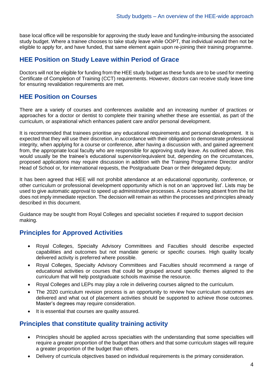base local office will be responsible for approving the study leave and funding/re-imbursing the associated study budget. Where a trainee chooses to take study leave while OOPT, that individual would then not be eligible to apply for, and have funded, that same element again upon re-joining their training programme.

#### **HEE Position on Study Leave within Period of Grace**

Doctors will not be eligible for funding from the HEE study budget as these funds are to be used for meeting Certificate of Completion of Training (CCT) requirements. However, doctors can receive study leave time for ensuring revalidation requirements are met.

#### **HEE Position on Courses**

There are a variety of courses and conferences available and an increasing number of practices or approaches for a doctor or dentist to complete their training whether these are essential, as part of the curriculum, or aspirational which enhances patient care and/or personal development.

It is recommended that trainees prioritise any educational requirements and personal development. It is expected that they will use their discretion, in accordance with their obligation to demonstrate professional integrity, when applying for a course or conference, after having a discussion with, and gained agreement from, the appropriate local faculty who are responsible for approving study leave. As outlined above, this would usually be the trainee's educational supervisor/equivalent but, depending on the circumstances, proposed applications may require discussion in addition with the Training Programme Director and/or Head of School or, for international requests, the Postgraduate Dean or their delegated deputy.

It has been agreed that HEE will not prohibit attendance at an educational opportunity, conference, or other curriculum or professional development opportunity which is not on an 'approved list'. Lists may be used to give automatic approval to speed up administrative processes. A course being absent from the list does not imply immediate rejection. The decision will remain as within the processes and principles already described in this document.

Guidance may be sought from Royal Colleges and specialist societies if required to support decision making.

#### **Principles for Approved Activities**

- Royal Colleges, Specialty Advisory Committees and Faculties should describe expected capabilities and outcomes but not mandate generic or specific courses. High quality locally delivered activity is preferred where possible.
- Royal Colleges, Specialty Advisory Committees and Faculties should recommend a range of educational activities or courses that could be grouped around specific themes aligned to the curriculum that will help postgraduate schools maximise the resource.
- Royal Colleges and LEPs may play a role in delivering courses aligned to the curriculum.
- The 2020 curriculum revision process is an opportunity to review how curriculum outcomes are delivered and what out of placement activities should be supported to achieve those outcomes. Master's degrees may require consideration.
- It is essential that courses are quality assured.

#### **Principles that constitute quality training activity**

- Principles should be applied across specialties with the understanding that some specialties will require a greater proportion of the budget than others and that some curriculum stages will require a greater proportion of the budget than others.
- Delivery of curricula objectives based on individual requirements is the primary consideration.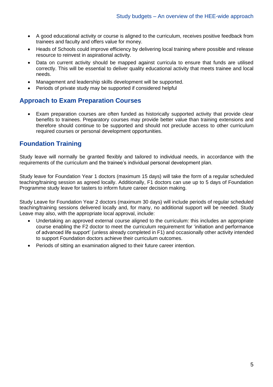- A good educational activity or course is aligned to the curriculum, receives positive feedback from trainees and faculty and offers value for money.
- Heads of Schools could improve efficiency by delivering local training where possible and release resource to reinvest in aspirational activity.
- Data on current activity should be mapped against curricula to ensure that funds are utilised correctly. This will be essential to deliver quality educational activity that meets trainee and local needs.
- Management and leadership skills development will be supported.
- Periods of private study may be supported if considered helpful

#### **Approach to Exam Preparation Courses**

• Exam preparation courses are often funded as historically supported activity that provide clear benefits to trainees. Preparatory courses may provide better value than training extensions and therefore should continue to be supported and should not preclude access to other curriculum required courses or personal development opportunities.

#### **Foundation Training**

Study leave will normally be granted flexibly and tailored to individual needs, in accordance with the requirements of the curriculum and the trainee's individual personal development plan.

Study leave for Foundation Year 1 doctors (maximum 15 days) will take the form of a regular scheduled teaching/training session as agreed locally. Additionally, F1 doctors can use up to 5 days of Foundation Programme study leave for tasters to inform future career decision making.

Study Leave for Foundation Year 2 doctors (maximum 30 days) will include periods of regular scheduled teaching/training sessions delivered locally and, for many, no additional support will be needed. Study Leave may also, with the appropriate local approval, include:

- Undertaking an approved external course aligned to the curriculum: this includes an appropriate course enabling the F2 doctor to meet the curriculum requirement for 'initiation and performance of advanced life support' (unless already completed in F1) and occasionally other activity intended to support Foundation doctors achieve their curriculum outcomes.
- Periods of sitting an examination aligned to their future career intention.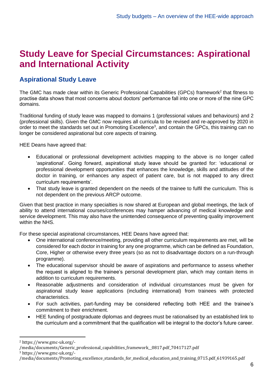### **Study Leave for Special Circumstances: Aspirational and International Activity**

#### **Aspirational Study Leave**

The GMC has made clear within its Generic Professional Capabilities (GPCs) framework<sup>2</sup> that fitness to practise data shows that most concerns about doctors' performance fall into one or more of the nine GPC domains.

Traditional funding of study leave was mapped to domains 1 (professional values and behaviours) and 2 (professional skills). Given the GMC now requires all curricula to be revised and re-approved by 2020 in order to meet the standards set out in Promoting Excellence<sup>3</sup>, and contain the GPCs, this training can no longer be considered aspirational but core aspects of training.

HEE Deans have agreed that:

- Educational or professional development activities mapping to the above is no longer called 'aspirational'. Going forward, aspirational study leave should be granted for: 'educational or professional development opportunities that enhances the knowledge, skills and attitudes of the doctor in training, or enhances any aspect of patient care, but is not mapped to any direct curriculum requirements'.
- That study leave is granted dependent on the needs of the trainee to fulfil the curriculum. This is not dependent on the previous ARCP outcome.

Given that best practice in many specialties is now shared at European and global meetings, the lack of ability to attend international courses/conferences may hamper advancing of medical knowledge and service development. This may also have the unintended consequence of preventing quality improvement within the NHS.

For these special aspirational circumstances, HEE Deans have agreed that:

- One international conference/meeting, providing all other curriculum requirements are met, will be considered for each doctor in training for any one programme, which can be defined as Foundation, Core, Higher or otherwise every three years (so as not to disadvantage doctors on a run-through programme).
- The educational supervisor should be aware of aspirations and performance to assess whether the request is aligned to the trainee's personal development plan, which may contain items in addition to curriculum requirements.
- Reasonable adjustments and consideration of individual circumstances must be given for aspirational study leave applications (including international) from trainees with protected characteristics.
- For such activities, part-funding may be considered reflecting both HEE and the trainee's commitment to their enrichment.
- HEE funding of postgraduate diplomas and degrees must be rationalised by an established link to the curriculum and a commitment that the qualification will be integral to the doctor's future career.

<sup>2</sup> https://www.gmc-uk.org/-

<sup>/</sup>media/documents/Generic\_professional\_capabilities\_framework\_\_0817.pdf\_70417127.pdf

<sup>3</sup> https://www.gmc-uk.org/-

<sup>/</sup>media/documents/Promoting\_excellence\_standards\_for\_medical\_education\_and\_training\_0715.pdf\_61939165.pdf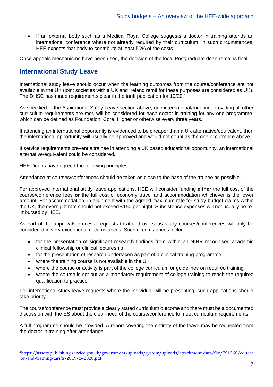• If an external body such as a Medical Royal College suggests a doctor in training attends an international conference where not already required by their curriculum, in such circumstances, HEE expects that body to contribute at least 50% of the costs.

Once appeals mechanisms have been used, the decision of the local Postgraduate dean remains final.

#### **International Study Leave**

International study leave should occur when the learning outcomes from the course/conference are not available in the UK (joint societies with a UK and Ireland remit for these purposes are considered as UK). The DHSC has made requirements clear in the tariff publication for 19/20.<sup>4</sup>

As specified in the Aspirational Study Leave section above, one international/meeting, providing all other curriculum requirements are met, will be considered for each doctor in training for any one programme, which can be defined as Foundation, Core, Higher or otherwise every three years.

If attending an international opportunity is evidenced to be cheaper than a UK alternative/equivalent, then the international opportunity will usually be approved and would not count as the one occurrence above.

If service requirements prevent a trainee in attending a UK based educational opportunity, an international alternative/equivalent could be considered.

HEE Deans have agreed the following principles:

Attendance at courses/conferences should be taken as close to the base of the trainee as possible.

For approved international study leave applications, HEE will consider funding **either** the full cost of the course/conference fees **or** the full cost of economy travel and accommodation whichever is the lower amount. For accommodation, in alignment with the agreed maximum rate for study budget claims within the UK, the overnight rate should not exceed £150 per night. Subsistence expenses will not usually be reimbursed by HEE.

As part of the approvals process, requests to attend overseas study courses/conferences will only be considered in very exceptional circumstances. Such circumstances include:

- for the presentation of significant research findings from within an NIHR recognised academic clinical fellowship or clinical lectureship
- for the presentation of research undertaken as part of a clinical training programme
- where the training course is not available in the UK
- where the course or activity is part of the college curriculum or guidelines on required training
- where the course is set out as a mandatory requirement of college training to reach the required qualification to practice

For international study leave requests where the individual will be presenting, such applications should take priority.

The course/conference must provide a clearly stated curriculum outcome and there must be a documented discussion with the ES about the clear need of the course/conference to meet curriculum requirements.

A full programme should be provided. A report covering the entirety of the leave may be requested from the doctor in training after attendance.

<sup>4</sup>[https://assets.publishing.service.gov.uk/government/uploads/system/uploads/attachment\\_data/file/791560/educat](https://assets.publishing.service.gov.uk/government/uploads/system/uploads/attachment_data/file/791560/education-and-training-tariffs-2019-to-2020.pdf) [ion-and-training-tariffs-2019-to-2020.pdf](https://assets.publishing.service.gov.uk/government/uploads/system/uploads/attachment_data/file/791560/education-and-training-tariffs-2019-to-2020.pdf)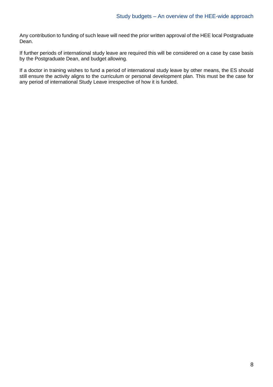Any contribution to funding of such leave will need the prior written approval of the HEE local Postgraduate Dean.

If further periods of international study leave are required this will be considered on a case by case basis by the Postgraduate Dean, and budget allowing*.*

If a doctor in training wishes to fund a period of international study leave by other means, the ES should still ensure the activity aligns to the curriculum or personal development plan. This must be the case for any period of international Study Leave irrespective of how it is funded.